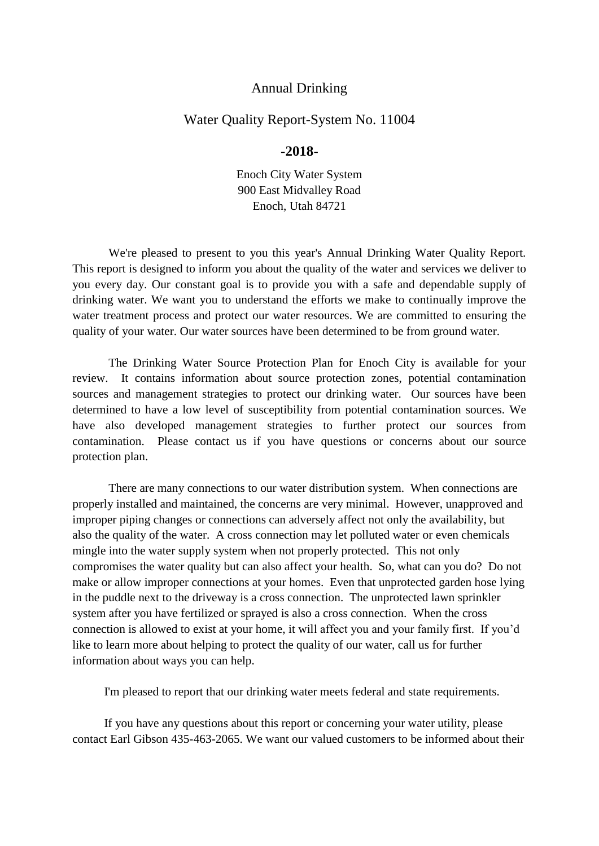## Annual Drinking

## Water Quality Report-System No. 11004

## **-2018-**

Enoch City Water System 900 East Midvalley Road Enoch, Utah 84721

We're pleased to present to you this year's Annual Drinking Water Quality Report. This report is designed to inform you about the quality of the water and services we deliver to you every day. Our constant goal is to provide you with a safe and dependable supply of drinking water. We want you to understand the efforts we make to continually improve the water treatment process and protect our water resources. We are committed to ensuring the quality of your water. Our water sources have been determined to be from ground water.

The Drinking Water Source Protection Plan for Enoch City is available for your review. It contains information about source protection zones, potential contamination sources and management strategies to protect our drinking water. Our sources have been determined to have a low level of susceptibility from potential contamination sources. We have also developed management strategies to further protect our sources from contamination. Please contact us if you have questions or concerns about our source protection plan.

There are many connections to our water distribution system. When connections are properly installed and maintained, the concerns are very minimal. However, unapproved and improper piping changes or connections can adversely affect not only the availability, but also the quality of the water. A cross connection may let polluted water or even chemicals mingle into the water supply system when not properly protected. This not only compromises the water quality but can also affect your health. So, what can you do? Do not make or allow improper connections at your homes. Even that unprotected garden hose lying in the puddle next to the driveway is a cross connection. The unprotected lawn sprinkler system after you have fertilized or sprayed is also a cross connection. When the cross connection is allowed to exist at your home, it will affect you and your family first. If you'd like to learn more about helping to protect the quality of our water, call us for further information about ways you can help.

I'm pleased to report that our drinking water meets federal and state requirements.

If you have any questions about this report or concerning your water utility, please contact Earl Gibson 435-463-2065. We want our valued customers to be informed about their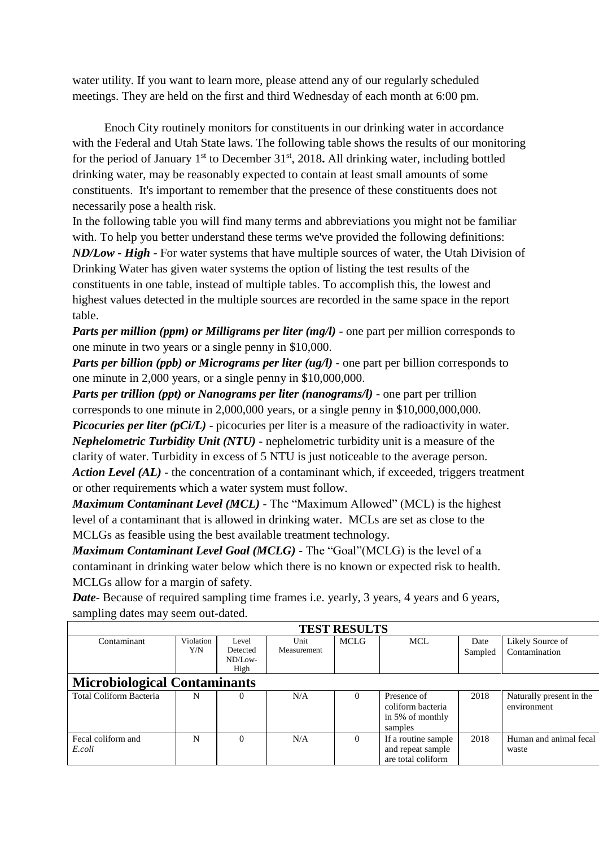water utility. If you want to learn more, please attend any of our regularly scheduled meetings. They are held on the first and third Wednesday of each month at 6:00 pm.

Enoch City routinely monitors for constituents in our drinking water in accordance with the Federal and Utah State laws. The following table shows the results of our monitoring for the period of January 1<sup>st</sup> to December 31<sup>st</sup>, 2018. All drinking water, including bottled drinking water, may be reasonably expected to contain at least small amounts of some constituents. It's important to remember that the presence of these constituents does not necessarily pose a health risk.

In the following table you will find many terms and abbreviations you might not be familiar with. To help you better understand these terms we've provided the following definitions: *ND/Low - High -* For water systems that have multiple sources of water, the Utah Division of Drinking Water has given water systems the option of listing the test results of the

constituents in one table, instead of multiple tables. To accomplish this, the lowest and highest values detected in the multiple sources are recorded in the same space in the report table.

*Parts per million (ppm) or Milligrams per liter (mg/l)* - one part per million corresponds to one minute in two years or a single penny in \$10,000.

*Parts per billion (ppb) or Micrograms per liter (ug/l)* - one part per billion corresponds to one minute in 2,000 years, or a single penny in \$10,000,000.

*Parts per trillion (ppt) or Nanograms per liter (nanograms/l)* - one part per trillion corresponds to one minute in 2,000,000 years, or a single penny in \$10,000,000,000.

*Picocuries per liter (pCi/L)* - picocuries per liter is a measure of the radioactivity in water. *Nephelometric Turbidity Unit (NTU)* - nephelometric turbidity unit is a measure of the clarity of water. Turbidity in excess of 5 NTU is just noticeable to the average person. *Action Level (AL)* - the concentration of a contaminant which, if exceeded, triggers treatment or other requirements which a water system must follow.

*Maximum Contaminant Level (MCL)* - The "Maximum Allowed" (MCL) is the highest level of a contaminant that is allowed in drinking water. MCLs are set as close to the MCLGs as feasible using the best available treatment technology.

*Maximum Contaminant Level Goal (MCLG)* - The "Goal"(MCLG) is the level of a contaminant in drinking water below which there is no known or expected risk to health. MCLGs allow for a margin of safety.

*Date*- Because of required sampling time frames i.e. yearly, 3 years, 4 years and 6 years, sampling dates may seem out-dated.

|                                     |                  |                                         |                     | <b>TEST RESULTS</b> |                                                                 |                 |                                         |
|-------------------------------------|------------------|-----------------------------------------|---------------------|---------------------|-----------------------------------------------------------------|-----------------|-----------------------------------------|
| Contaminant                         | Violation<br>Y/N | Level<br>Detected<br>$ND/I_0w-$<br>High | Unit<br>Measurement | <b>MCLG</b>         | <b>MCL</b>                                                      | Date<br>Sampled | Likely Source of<br>Contamination       |
| <b>Microbiological Contaminants</b> |                  |                                         |                     |                     |                                                                 |                 |                                         |
| Total Coliform Bacteria             | N                | $\Omega$                                | N/A                 |                     | Presence of<br>coliform bacteria<br>in 5% of monthly<br>samples | 2018            | Naturally present in the<br>environment |
| Fecal coliform and<br>E.coli        | N                | $\Omega$                                | N/A                 | 0                   | If a routine sample<br>and repeat sample<br>are total coliform  | 2018            | Human and animal fecal<br>waste         |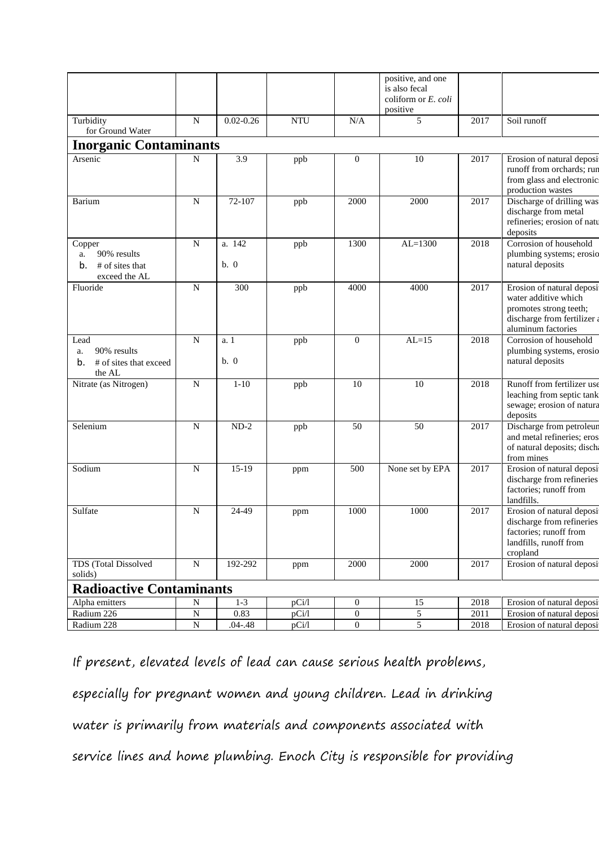|                                                                       |                |                |            |                  | positive, and one<br>is also fecal<br>coliform or $E$ , coli<br>positive |      |                                                                                                                                  |
|-----------------------------------------------------------------------|----------------|----------------|------------|------------------|--------------------------------------------------------------------------|------|----------------------------------------------------------------------------------------------------------------------------------|
| Turbidity<br>for Ground Water                                         | N              | $0.02 - 0.26$  | <b>NTU</b> | N/A              | 5                                                                        | 2017 | Soil runoff                                                                                                                      |
| <b>Inorganic Contaminants</b>                                         |                |                |            |                  |                                                                          |      |                                                                                                                                  |
| Arsenic                                                               | N              | 3.9            | ppb        | $\boldsymbol{0}$ | 10                                                                       | 2017 | Erosion of natural deposi<br>runoff from orchards; run<br>from glass and electronic<br>production wastes                         |
| Barium                                                                | N              | $72-107$       | ppb        | 2000             | 2000                                                                     | 2017 | Discharge of drilling was<br>discharge from metal<br>refineries; erosion of natu<br>deposits                                     |
| Copper<br>90% results<br>a.<br># of sites that<br>b.<br>exceed the AL | ${\bf N}$      | a. 142<br>b. 0 | ppb        | 1300             | $AL=1300$                                                                | 2018 | Corrosion of household<br>plumbing systems; erosio<br>natural deposits                                                           |
| Fluoride                                                              | $\mathbf N$    | 300            | ppb        | 4000             | 4000                                                                     | 2017 | Erosion of natural deposi<br>water additive which<br>promotes strong teeth;<br>discharge from fertilizer a<br>aluminum factories |
| Lead<br>90% results<br>a.<br># of sites that exceed<br>b.<br>the AL   | N              | a. 1<br>b. 0   | ppb        | $\mathbf{0}$     | $AL=15$                                                                  | 2018 | Corrosion of household<br>plumbing systems, erosio<br>natural deposits                                                           |
| Nitrate (as Nitrogen)                                                 | $\mathbf N$    | $1 - 10$       | ppb        | 10               | 10                                                                       | 2018 | Runoff from fertilizer use<br>leaching from septic tank<br>sewage; erosion of natura<br>deposits                                 |
| Selenium                                                              | N              | $ND-2$         | ppb        | 50               | 50                                                                       | 2017 | Discharge from petroleun<br>and metal refineries; eros<br>of natural deposits; discha<br>from mines                              |
| Sodium                                                                | N              | $15-19$        | ppm        | 500              | None set by EPA                                                          | 2017 | Erosion of natural deposi<br>discharge from refineries<br>factories; runoff from<br>landfills.                                   |
| Sulfate                                                               | $\mathbf N$    | 24-49          | ppm        | 1000             | 1000                                                                     | 2017 | Erosion of natural deposi<br>discharge from refineries<br>factories; runoff from<br>landfills, runoff from<br>cropland           |
| TDS (Total Dissolved<br>solids)                                       | N              | 192-292        | ppm        | 2000             | 2000                                                                     | 2017 | Erosion of natural deposi                                                                                                        |
| <b>Radioactive Contaminants</b>                                       |                |                |            |                  |                                                                          |      |                                                                                                                                  |
| Alpha emitters                                                        | ${\bf N}$      | $1 - 3$        | pCi/l      | $\overline{0}$   | 15                                                                       | 2018 | Erosion of natural deposi                                                                                                        |
| Radium 226                                                            | ${\bf N}$      | 0.83           | pCi/1      | $\boldsymbol{0}$ | 5                                                                        | 2011 | Erosion of natural deposi                                                                                                        |
| Radium 228                                                            | $\overline{N}$ | $.04 - .48$    | pCi/l      | $\boldsymbol{0}$ | 5                                                                        | 2018 | Erosion of natural deposi                                                                                                        |

If present, elevated levels of lead can cause serious health problems, especially for pregnant women and young children. Lead in drinking water is primarily from materials and components associated with service lines and home plumbing. Enoch City is responsible for providing